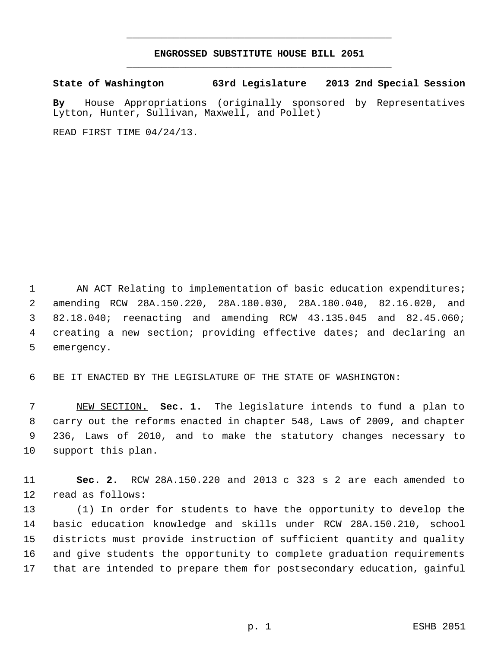## **ENGROSSED SUBSTITUTE HOUSE BILL 2051** \_\_\_\_\_\_\_\_\_\_\_\_\_\_\_\_\_\_\_\_\_\_\_\_\_\_\_\_\_\_\_\_\_\_\_\_\_\_\_\_\_\_\_\_\_

\_\_\_\_\_\_\_\_\_\_\_\_\_\_\_\_\_\_\_\_\_\_\_\_\_\_\_\_\_\_\_\_\_\_\_\_\_\_\_\_\_\_\_\_\_

**State of Washington 63rd Legislature 2013 2nd Special Session**

**By** House Appropriations (originally sponsored by Representatives Lytton, Hunter, Sullivan, Maxwell, and Pollet)

READ FIRST TIME 04/24/13.

1 AN ACT Relating to implementation of basic education expenditures; amending RCW 28A.150.220, 28A.180.030, 28A.180.040, 82.16.020, and 82.18.040; reenacting and amending RCW 43.135.045 and 82.45.060; creating a new section; providing effective dates; and declaring an emergency.

BE IT ENACTED BY THE LEGISLATURE OF THE STATE OF WASHINGTON:

 NEW SECTION. **Sec. 1.** The legislature intends to fund a plan to carry out the reforms enacted in chapter 548, Laws of 2009, and chapter 236, Laws of 2010, and to make the statutory changes necessary to support this plan.

 **Sec. 2.** RCW 28A.150.220 and 2013 c 323 s 2 are each amended to read as follows:

 (1) In order for students to have the opportunity to develop the basic education knowledge and skills under RCW 28A.150.210, school districts must provide instruction of sufficient quantity and quality and give students the opportunity to complete graduation requirements that are intended to prepare them for postsecondary education, gainful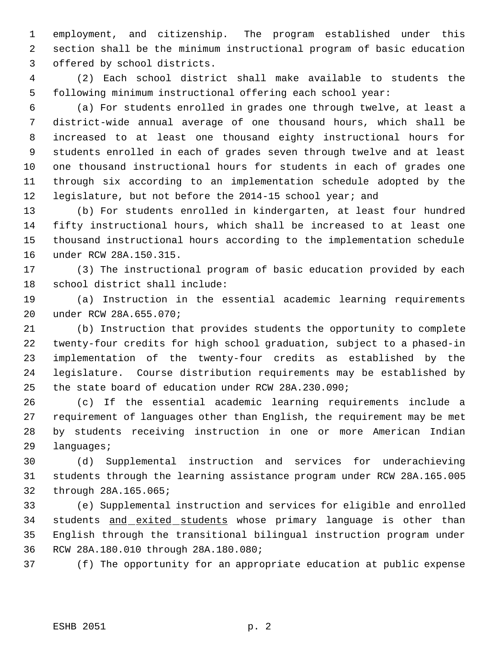employment, and citizenship. The program established under this section shall be the minimum instructional program of basic education offered by school districts.

 (2) Each school district shall make available to students the following minimum instructional offering each school year:

 (a) For students enrolled in grades one through twelve, at least a district-wide annual average of one thousand hours, which shall be increased to at least one thousand eighty instructional hours for students enrolled in each of grades seven through twelve and at least one thousand instructional hours for students in each of grades one through six according to an implementation schedule adopted by the legislature, but not before the 2014-15 school year; and

 (b) For students enrolled in kindergarten, at least four hundred fifty instructional hours, which shall be increased to at least one thousand instructional hours according to the implementation schedule under RCW 28A.150.315.

 (3) The instructional program of basic education provided by each school district shall include:

 (a) Instruction in the essential academic learning requirements under RCW 28A.655.070;

 (b) Instruction that provides students the opportunity to complete twenty-four credits for high school graduation, subject to a phased-in implementation of the twenty-four credits as established by the legislature. Course distribution requirements may be established by the state board of education under RCW 28A.230.090;

 (c) If the essential academic learning requirements include a requirement of languages other than English, the requirement may be met by students receiving instruction in one or more American Indian languages;

 (d) Supplemental instruction and services for underachieving students through the learning assistance program under RCW 28A.165.005 through 28A.165.065;

 (e) Supplemental instruction and services for eligible and enrolled 34 students and exited students whose primary language is other than English through the transitional bilingual instruction program under RCW 28A.180.010 through 28A.180.080;

(f) The opportunity for an appropriate education at public expense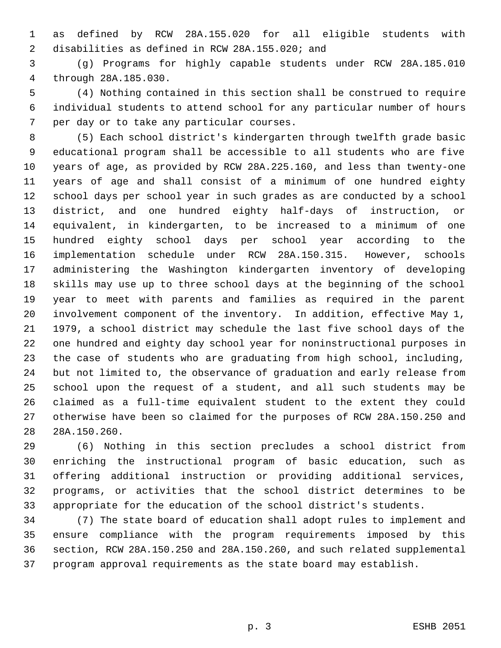as defined by RCW 28A.155.020 for all eligible students with disabilities as defined in RCW 28A.155.020; and

 (g) Programs for highly capable students under RCW 28A.185.010 through 28A.185.030.

 (4) Nothing contained in this section shall be construed to require individual students to attend school for any particular number of hours per day or to take any particular courses.

 (5) Each school district's kindergarten through twelfth grade basic educational program shall be accessible to all students who are five years of age, as provided by RCW 28A.225.160, and less than twenty-one years of age and shall consist of a minimum of one hundred eighty school days per school year in such grades as are conducted by a school district, and one hundred eighty half-days of instruction, or equivalent, in kindergarten, to be increased to a minimum of one hundred eighty school days per school year according to the implementation schedule under RCW 28A.150.315. However, schools administering the Washington kindergarten inventory of developing skills may use up to three school days at the beginning of the school year to meet with parents and families as required in the parent involvement component of the inventory. In addition, effective May 1, 1979, a school district may schedule the last five school days of the one hundred and eighty day school year for noninstructional purposes in the case of students who are graduating from high school, including, but not limited to, the observance of graduation and early release from school upon the request of a student, and all such students may be claimed as a full-time equivalent student to the extent they could otherwise have been so claimed for the purposes of RCW 28A.150.250 and 28A.150.260.

 (6) Nothing in this section precludes a school district from enriching the instructional program of basic education, such as offering additional instruction or providing additional services, programs, or activities that the school district determines to be appropriate for the education of the school district's students.

 (7) The state board of education shall adopt rules to implement and ensure compliance with the program requirements imposed by this section, RCW 28A.150.250 and 28A.150.260, and such related supplemental program approval requirements as the state board may establish.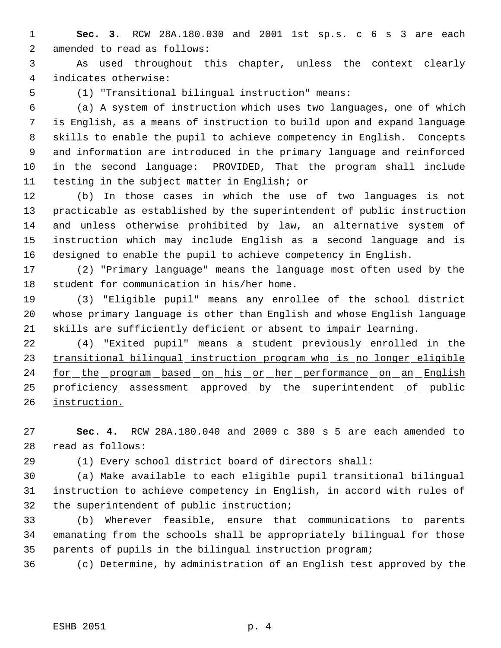**Sec. 3.** RCW 28A.180.030 and 2001 1st sp.s. c 6 s 3 are each amended to read as follows:

 As used throughout this chapter, unless the context clearly indicates otherwise:

(1) "Transitional bilingual instruction" means:

 (a) A system of instruction which uses two languages, one of which is English, as a means of instruction to build upon and expand language skills to enable the pupil to achieve competency in English. Concepts and information are introduced in the primary language and reinforced in the second language: PROVIDED, That the program shall include testing in the subject matter in English; or

 (b) In those cases in which the use of two languages is not practicable as established by the superintendent of public instruction and unless otherwise prohibited by law, an alternative system of instruction which may include English as a second language and is designed to enable the pupil to achieve competency in English.

 (2) "Primary language" means the language most often used by the student for communication in his/her home.

 (3) "Eligible pupil" means any enrollee of the school district whose primary language is other than English and whose English language skills are sufficiently deficient or absent to impair learning.

 (4) "Exited pupil" means a student previously enrolled in the transitional bilingual instruction program who is no longer eligible 24 for the program based on his or her performance on an English 25 proficiency assessment approved by the superintendent of public instruction.

 **Sec. 4.** RCW 28A.180.040 and 2009 c 380 s 5 are each amended to read as follows:

(1) Every school district board of directors shall:

 (a) Make available to each eligible pupil transitional bilingual instruction to achieve competency in English, in accord with rules of the superintendent of public instruction;

 (b) Wherever feasible, ensure that communications to parents emanating from the schools shall be appropriately bilingual for those parents of pupils in the bilingual instruction program;

(c) Determine, by administration of an English test approved by the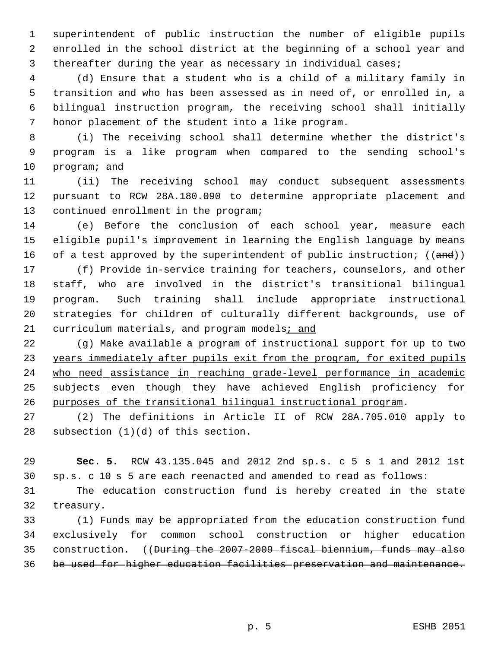superintendent of public instruction the number of eligible pupils enrolled in the school district at the beginning of a school year and thereafter during the year as necessary in individual cases;

 (d) Ensure that a student who is a child of a military family in transition and who has been assessed as in need of, or enrolled in, a bilingual instruction program, the receiving school shall initially honor placement of the student into a like program.

 (i) The receiving school shall determine whether the district's program is a like program when compared to the sending school's program; and

 (ii) The receiving school may conduct subsequent assessments pursuant to RCW 28A.180.090 to determine appropriate placement and continued enrollment in the program;

 (e) Before the conclusion of each school year, measure each eligible pupil's improvement in learning the English language by means 16 of a test approved by the superintendent of public instruction;  $((and))$ 

 (f) Provide in-service training for teachers, counselors, and other staff, who are involved in the district's transitional bilingual program. Such training shall include appropriate instructional strategies for children of culturally different backgrounds, use of 21 curriculum materials, and program models; and

 (g) Make available a program of instructional support for up to two 23 years immediately after pupils exit from the program, for exited pupils who need assistance in reaching grade-level performance in academic 25 subjects even though they have achieved English proficiency for purposes of the transitional bilingual instructional program.

 (2) The definitions in Article II of RCW 28A.705.010 apply to subsection (1)(d) of this section.

 **Sec. 5.** RCW 43.135.045 and 2012 2nd sp.s. c 5 s 1 and 2012 1st sp.s. c 10 s 5 are each reenacted and amended to read as follows:

 The education construction fund is hereby created in the state treasury.

 (1) Funds may be appropriated from the education construction fund exclusively for common school construction or higher education construction. ((During the 2007-2009 fiscal biennium, funds may also be used for higher education facilities preservation and maintenance.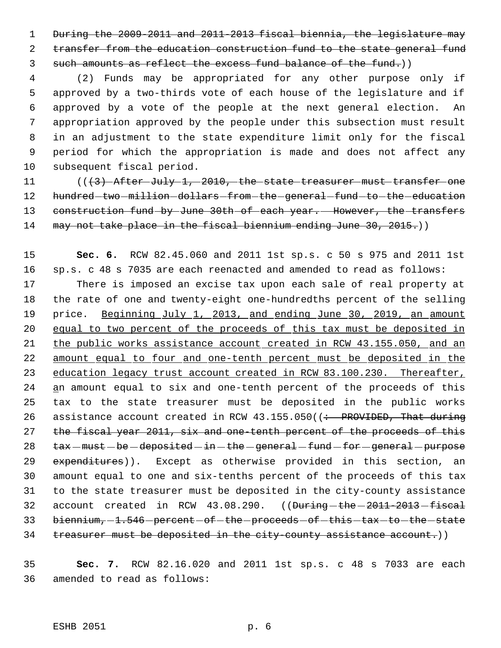1 During the 2009-2011 and 2011-2013 fiscal biennia, the legislature may 2 transfer from the education construction fund to the state general fund 3 such amounts as reflect the excess fund balance of the fund.)

 (2) Funds may be appropriated for any other purpose only if approved by a two-thirds vote of each house of the legislature and if approved by a vote of the people at the next general election. An appropriation approved by the people under this subsection must result in an adjustment to the state expenditure limit only for the fiscal period for which the appropriation is made and does not affect any subsequent fiscal period.

11 (((3) After July 1, 2010, the state treasurer must transfer one 12 hundred two million dollars from the general fund to the education 13 construction fund by June 30th of each year. However, the transfers 14 may not take place in the fiscal biennium ending June 30, 2015.)

15 **Sec. 6.** RCW 82.45.060 and 2011 1st sp.s. c 50 s 975 and 2011 1st 16 sp.s. c 48 s 7035 are each reenacted and amended to read as follows: 17 There is imposed an excise tax upon each sale of real property at 18 the rate of one and twenty-eight one-hundredths percent of the selling 19 price. Beginning July 1, 2013, and ending June 30, 2019, an amount 20 equal to two percent of the proceeds of this tax must be deposited in 21 the public works assistance account created in RCW 43.155.050, and an 22 amount equal to four and one-tenth percent must be deposited in the 23 education legacy trust account created in RCW 83.100.230. Thereafter, 24 an amount equal to six and one-tenth percent of the proceeds of this 25 tax to the state treasurer must be deposited in the public works 26 assistance account created in RCW  $43.155.050$  ( $\div$  PROVIDED, That during 27 the fiscal year 2011, six and one-tenth percent of the proceeds of this  $28$  tax  $-must - be - deposited - in - the - general - fund - for - general - purpose$ 29 expenditures)). Except as otherwise provided in this section, an 30 amount equal to one and six-tenths percent of the proceeds of this tax 31 to the state treasurer must be deposited in the city-county assistance 32 account created in RCW 43.08.290. ((During-the-2011-2013-fiscal 33 biennium, -1.546 - percent - of - the - proceeds - of - this - tax - to - the - state 34 treasurer must be deposited in the city-county assistance account.))

35 **Sec. 7.** RCW 82.16.020 and 2011 1st sp.s. c 48 s 7033 are each 36 amended to read as follows: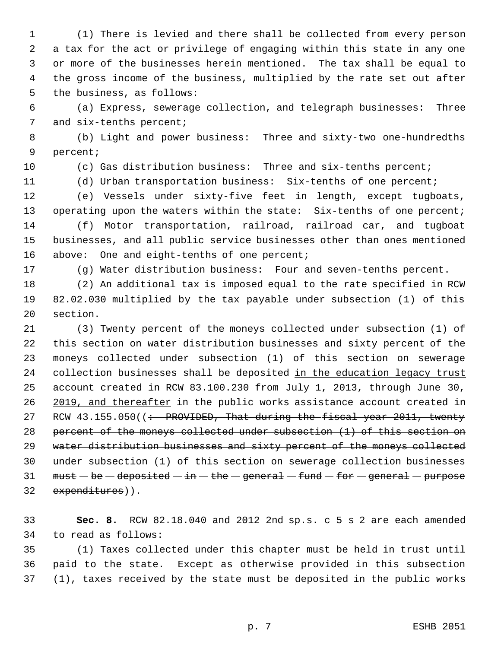(1) There is levied and there shall be collected from every person a tax for the act or privilege of engaging within this state in any one or more of the businesses herein mentioned. The tax shall be equal to the gross income of the business, multiplied by the rate set out after the business, as follows:

 (a) Express, sewerage collection, and telegraph businesses: Three 7 and six-tenths percent;

 (b) Light and power business: Three and sixty-two one-hundredths percent;

(c) Gas distribution business: Three and six-tenths percent;

(d) Urban transportation business: Six-tenths of one percent;

 (e) Vessels under sixty-five feet in length, except tugboats, 13 operating upon the waters within the state: Six-tenths of one percent; (f) Motor transportation, railroad, railroad car, and tugboat businesses, and all public service businesses other than ones mentioned 16 above: One and eight-tenths of one percent;

(g) Water distribution business: Four and seven-tenths percent.

 (2) An additional tax is imposed equal to the rate specified in RCW 82.02.030 multiplied by the tax payable under subsection (1) of this section.

 (3) Twenty percent of the moneys collected under subsection (1) of this section on water distribution businesses and sixty percent of the moneys collected under subsection (1) of this section on sewerage 24 collection businesses shall be deposited in the education legacy trust account created in RCW 83.100.230 from July 1, 2013, through June 30, 26 2019, and thereafter in the public works assistance account created in 27 RCW  $43.155.050$  ( $\div$  PROVIDED, That during the fiscal year 2011, twenty percent of the moneys collected under subsection (1) of this section on 29 water distribution businesses and sixty percent of the moneys collected under subsection (1) of this section on sewerage collection businesses 31 must  $-\mathbf{be}-\mathbf{deposited}-\mathbf{in}-\mathbf{the}-\mathbf{general}-\mathbf{fund}-\mathbf{for}-\mathbf{general}-\mathbf{purpose}$ expenditures)).

 **Sec. 8.** RCW 82.18.040 and 2012 2nd sp.s. c 5 s 2 are each amended to read as follows:

 (1) Taxes collected under this chapter must be held in trust until paid to the state. Except as otherwise provided in this subsection (1), taxes received by the state must be deposited in the public works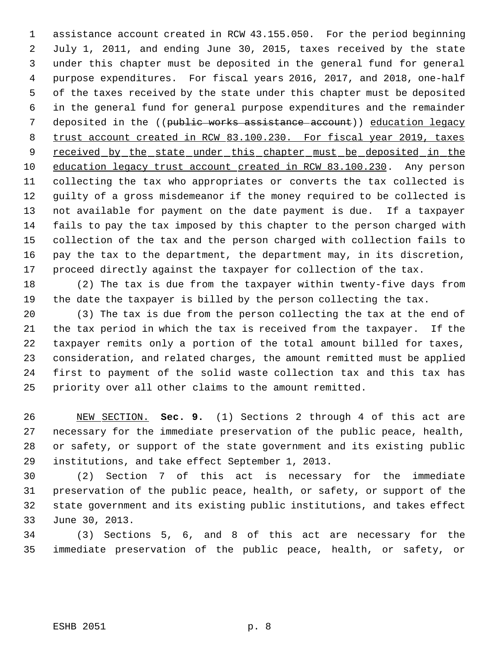assistance account created in RCW 43.155.050. For the period beginning July 1, 2011, and ending June 30, 2015, taxes received by the state under this chapter must be deposited in the general fund for general purpose expenditures. For fiscal years 2016, 2017, and 2018, one-half of the taxes received by the state under this chapter must be deposited in the general fund for general purpose expenditures and the remainder 7 deposited in the ((public works assistance account)) education legacy trust account created in RCW 83.100.230. For fiscal year 2019, taxes 9 received by the state under this chapter must be deposited in the education legacy trust account created in RCW 83.100.230. Any person collecting the tax who appropriates or converts the tax collected is guilty of a gross misdemeanor if the money required to be collected is not available for payment on the date payment is due. If a taxpayer fails to pay the tax imposed by this chapter to the person charged with collection of the tax and the person charged with collection fails to pay the tax to the department, the department may, in its discretion, proceed directly against the taxpayer for collection of the tax.

 (2) The tax is due from the taxpayer within twenty-five days from the date the taxpayer is billed by the person collecting the tax.

 (3) The tax is due from the person collecting the tax at the end of the tax period in which the tax is received from the taxpayer. If the taxpayer remits only a portion of the total amount billed for taxes, consideration, and related charges, the amount remitted must be applied first to payment of the solid waste collection tax and this tax has priority over all other claims to the amount remitted.

 NEW SECTION. **Sec. 9.** (1) Sections 2 through 4 of this act are necessary for the immediate preservation of the public peace, health, or safety, or support of the state government and its existing public institutions, and take effect September 1, 2013.

 (2) Section 7 of this act is necessary for the immediate preservation of the public peace, health, or safety, or support of the state government and its existing public institutions, and takes effect June 30, 2013.

 (3) Sections 5, 6, and 8 of this act are necessary for the immediate preservation of the public peace, health, or safety, or